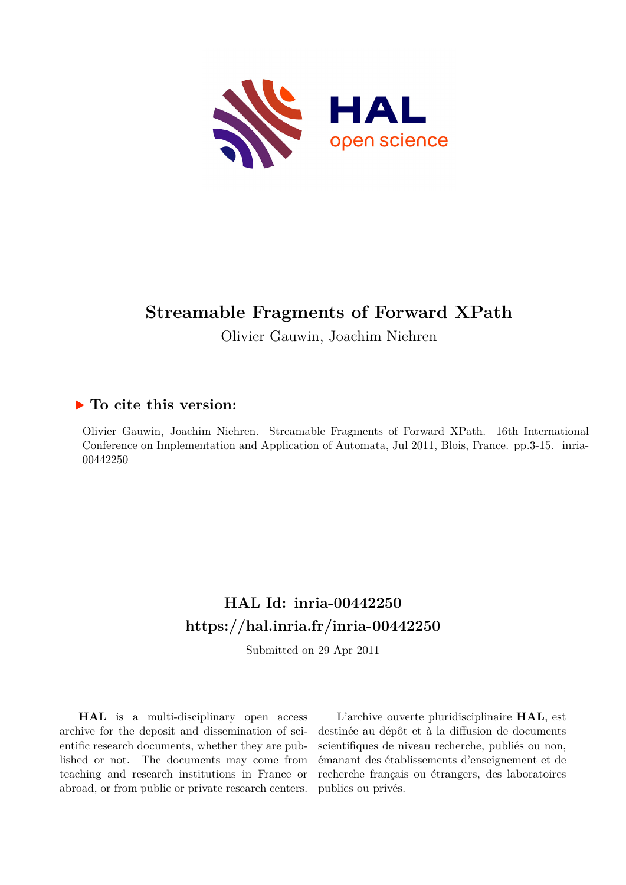

# **Streamable Fragments of Forward XPath**

Olivier Gauwin, Joachim Niehren

## **To cite this version:**

Olivier Gauwin, Joachim Niehren. Streamable Fragments of Forward XPath. 16th International Conference on Implementation and Application of Automata, Jul 2011, Blois, France. pp.3-15. inria-00442250

# **HAL Id: inria-00442250 <https://hal.inria.fr/inria-00442250>**

Submitted on 29 Apr 2011

**HAL** is a multi-disciplinary open access archive for the deposit and dissemination of scientific research documents, whether they are published or not. The documents may come from teaching and research institutions in France or abroad, or from public or private research centers.

L'archive ouverte pluridisciplinaire **HAL**, est destinée au dépôt et à la diffusion de documents scientifiques de niveau recherche, publiés ou non, émanant des établissements d'enseignement et de recherche français ou étrangers, des laboratoires publics ou privés.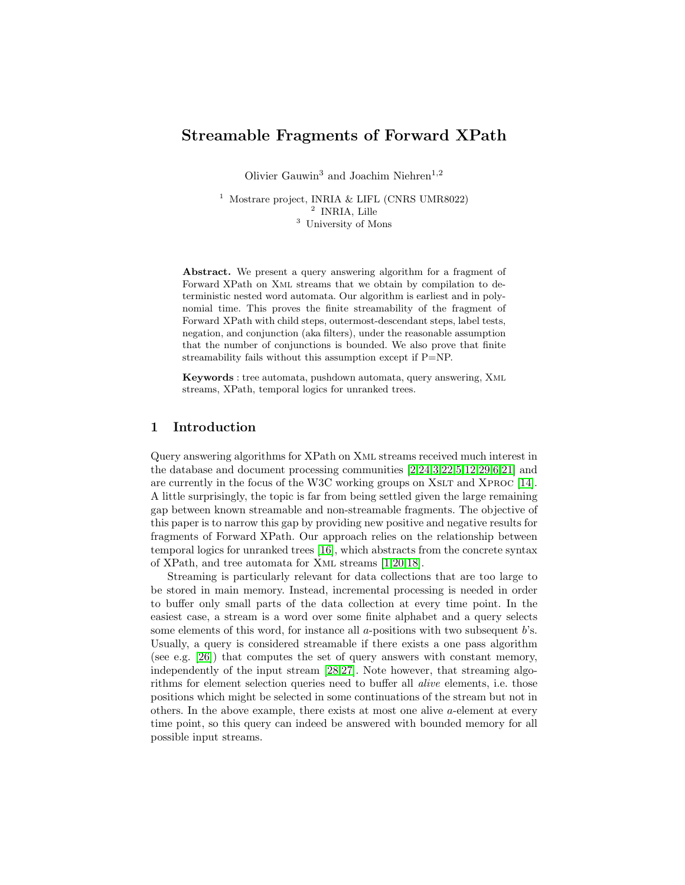### Streamable Fragments of Forward XPath

Olivier Gauwin<sup>3</sup> and Joachim Niehren<sup>1,2</sup>

<sup>1</sup> Mostrare project, INRIA & LIFL (CNRS UMR8022) 2 INRIA, Lille <sup>3</sup> University of Mons

Abstract. We present a query answering algorithm for a fragment of Forward XPath on Xml streams that we obtain by compilation to deterministic nested word automata. Our algorithm is earliest and in polynomial time. This proves the finite streamability of the fragment of Forward XPath with child steps, outermost-descendant steps, label tests, negation, and conjunction (aka filters), under the reasonable assumption that the number of conjunctions is bounded. We also prove that finite streamability fails without this assumption except if P=NP.

Keywords : tree automata, pushdown automata, query answering, Xml streams, XPath, temporal logics for unranked trees.

#### 1 Introduction

Query answering algorithms for XPath on Xml streams received much interest in the database and document processing communities [\[2](#page-12-0)[,24](#page-13-0)[,3](#page-12-1)[,22,](#page-13-1)[5](#page-12-2)[,12](#page-13-2)[,29,](#page-13-3)[6,](#page-12-3)[21\]](#page-13-4) and are currently in the focus of the W3C working groups on XSLT and XPROC [\[14\]](#page-13-5). A little surprisingly, the topic is far from being settled given the large remaining gap between known streamable and non-streamable fragments. The objective of this paper is to narrow this gap by providing new positive and negative results for fragments of Forward XPath. Our approach relies on the relationship between temporal logics for unranked trees [\[16\]](#page-13-6), which abstracts from the concrete syntax of XPath, and tree automata for Xml streams [\[1](#page-12-4)[,20,](#page-13-7)[18\]](#page-13-8).

Streaming is particularly relevant for data collections that are too large to be stored in main memory. Instead, incremental processing is needed in order to buffer only small parts of the data collection at every time point. In the easiest case, a stream is a word over some finite alphabet and a query selects some elements of this word, for instance all  $a$ -positions with two subsequent  $b$ 's. Usually, a query is considered streamable if there exists a one pass algorithm (see e.g. [\[26\]](#page-13-9)) that computes the set of query answers with constant memory, independently of the input stream [\[28,](#page-13-10)[27\]](#page-13-11). Note however, that streaming algorithms for element selection queries need to buffer all alive elements, i.e. those positions which might be selected in some continuations of the stream but not in others. In the above example, there exists at most one alive a-element at every time point, so this query can indeed be answered with bounded memory for all possible input streams.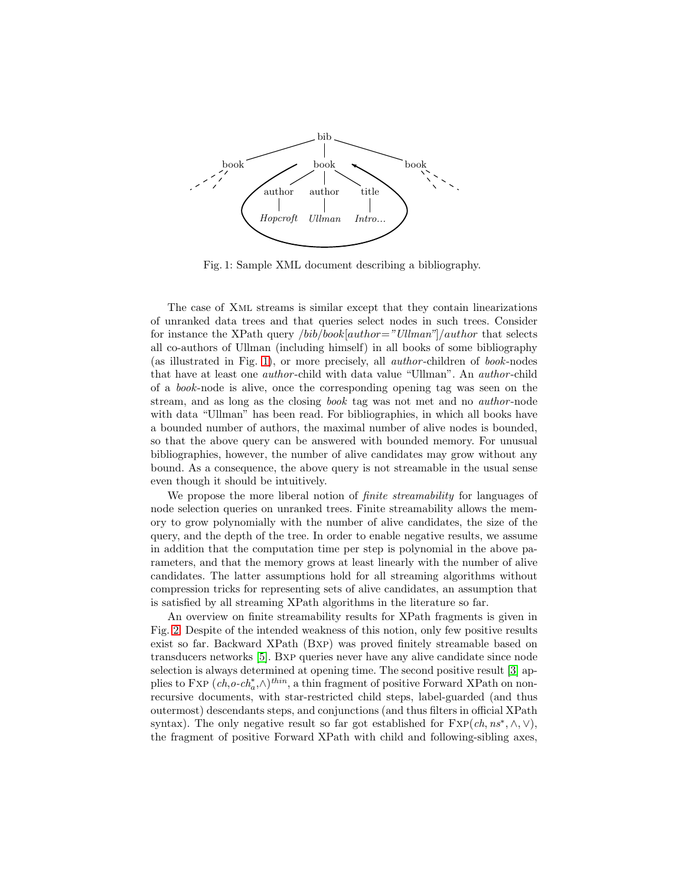<span id="page-2-0"></span>

Fig. 1: Sample XML document describing a bibliography.

The case of Xml streams is similar except that they contain linearizations of unranked data trees and that queries select nodes in such trees. Consider for instance the XPath query */bib/book[author="Ullman"]/author* that selects all co-authors of Ullman (including himself) in all books of some bibliography (as illustrated in Fig. [1\)](#page-2-0), or more precisely, all author -children of book-nodes that have at least one author -child with data value "Ullman". An author -child of a book-node is alive, once the corresponding opening tag was seen on the stream, and as long as the closing book tag was not met and no author -node with data "Ullman" has been read. For bibliographies, in which all books have a bounded number of authors, the maximal number of alive nodes is bounded, so that the above query can be answered with bounded memory. For unusual bibliographies, however, the number of alive candidates may grow without any bound. As a consequence, the above query is not streamable in the usual sense even though it should be intuitively.

We propose the more liberal notion of *finite streamability* for languages of node selection queries on unranked trees. Finite streamability allows the memory to grow polynomially with the number of alive candidates, the size of the query, and the depth of the tree. In order to enable negative results, we assume in addition that the computation time per step is polynomial in the above parameters, and that the memory grows at least linearly with the number of alive candidates. The latter assumptions hold for all streaming algorithms without compression tricks for representing sets of alive candidates, an assumption that is satisfied by all streaming XPath algorithms in the literature so far.

An overview on finite streamability results for XPath fragments is given in Fig. [2.](#page-3-0) Despite of the intended weakness of this notion, only few positive results exist so far. Backward XPath (Bxp) was proved finitely streamable based on transducers networks [\[5\]](#page-12-2). Bxp queries never have any alive candidate since node selection is always determined at opening time. The second positive result [\[3\]](#page-12-1) applies to FXP  $(ch, o-ch^*_{a} \wedge)^{thin}$ , a thin fragment of positive Forward XPath on nonrecursive documents, with star-restricted child steps, label-guarded (and thus outermost) descendants steps, and conjunctions (and thus filters in official XPath syntax). The only negative result so far got established for  $FXP(ch, ns^*, \wedge, \vee),$ the fragment of positive Forward XPath with child and following-sibling axes,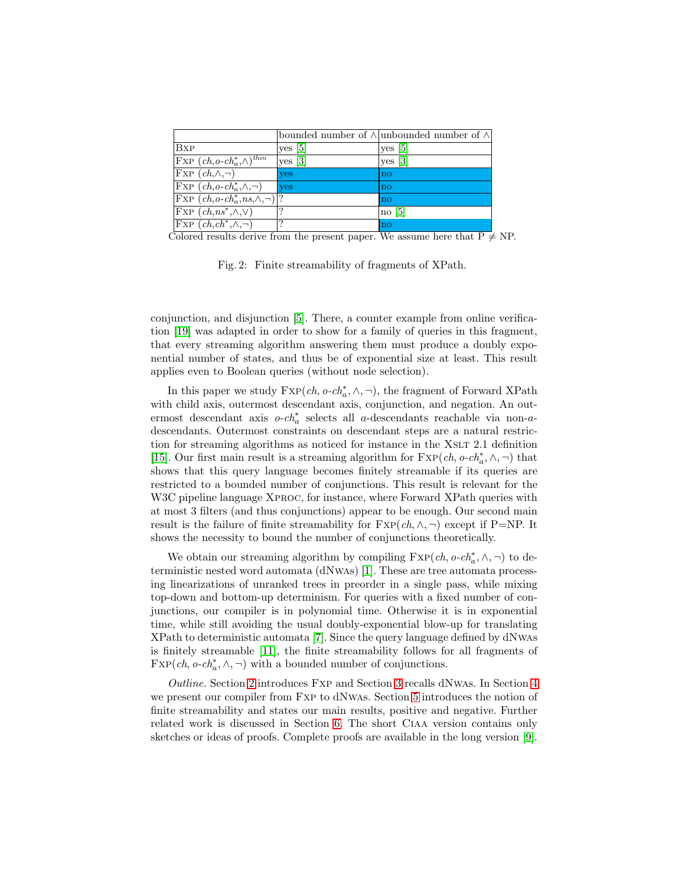<span id="page-3-0"></span>

|                                                                 |            | bounded number of $\wedge$ unbounded number of $\wedge$ |
|-----------------------------------------------------------------|------------|---------------------------------------------------------|
| <b>B</b> <sub>x</sub> <sub>P</sub>                              | yes [5]    | $ves$ [5]                                               |
| $\vert$ FXP $(ch, o\text{-}ch_a^*, \wedge)$ <sup>thin</sup>     | yes [3]    | $yes \; [3]$                                            |
| $\text{FXP} (ch, \wedge, \neg)$                                 | <b>ves</b> | $\overline{no}$                                         |
| $\overline{\text{FXP}}(ch, o\text{-}ch^*_a, \wedge, \neg)$      | yes        | no                                                      |
| $\vert$ Fxp $(ch, o\text{-}ch^*_{a}, ns, \wedge, \neg) \vert$ ? |            | no                                                      |
| $\text{Exp}(ch, ns^*, \wedge, \vee)$                            |            | no <sub>5</sub>                                         |
| $\vert$ FXP $(ch, ch^*, \wedge, \neg)$                          | 9          | $\overline{no}$                                         |

Colored results derive from the present paper. We assume here that  $\overline{P} \neq NP$ .

Fig. 2: Finite streamability of fragments of XPath.

conjunction, and disjunction [\[5\]](#page-12-2). There, a counter example from online verification [\[19\]](#page-13-12) was adapted in order to show for a family of queries in this fragment, that every streaming algorithm answering them must produce a doubly exponential number of states, and thus be of exponential size at least. This result applies even to Boolean queries (without node selection).

In this paper we study  $\text{Exp}(ch, o\text{-}ch_a^*, \wedge, \neg)$ , the fragment of Forward XPath with child axis, outermost descendant axis, conjunction, and negation. An outermost descendant axis  $o\text{-}ch^*_a$  selects all a-descendants reachable via non-adescendants. Outermost constraints on descendant steps are a natural restriction for streaming algorithms as noticed for instance in the XSLT 2.1 definition [\[15\]](#page-13-13). Our first main result is a streaming algorithm for  $\text{Exp}(ch, o \text{-} ch_a^*, \wedge, \neg)$  that shows that this query language becomes finitely streamable if its queries are restricted to a bounded number of conjunctions. This result is relevant for the W<sub>3</sub>C pipeline language XPROC, for instance, where Forward XPath queries with at most 3 filters (and thus conjunctions) appear to be enough. Our second main result is the failure of finite streamability for  $\text{Exp}(ch, \wedge, \neg)$  except if P=NP. It shows the necessity to bound the number of conjunctions theoretically.

We obtain our streaming algorithm by compiling  $\text{Exp}(ch, o \text{-} ch_a^*, \wedge, \neg)$  to deterministic nested word automata (dNwas) [\[1\]](#page-12-4). These are tree automata processing linearizations of unranked trees in preorder in a single pass, while mixing top-down and bottom-up determinism. For queries with a fixed number of conjunctions, our compiler is in polynomial time. Otherwise it is in exponential time, while still avoiding the usual doubly-exponential blow-up for translating XPath to deterministic automata [\[7\]](#page-13-14). Since the query language defined by dNwas is finitely streamable [\[11\]](#page-13-15), the finite streamability follows for all fragments of  $\text{Exp}(ch, o\text{-}ch^*_a, \wedge, \neg)$  with a bounded number of conjunctions.

Outline. Section [2](#page-4-0) introduces Fxp and Section [3](#page-5-0) recalls dNwas. In Section [4](#page-7-0) we present our compiler from Fxp to dNwas. Section [5](#page-10-0) introduces the notion of finite streamability and states our main results, positive and negative. Further related work is discussed in Section [6.](#page-11-0) The short Ciaa version contains only sketches or ideas of proofs. Complete proofs are available in the long version [\[9\]](#page-13-16).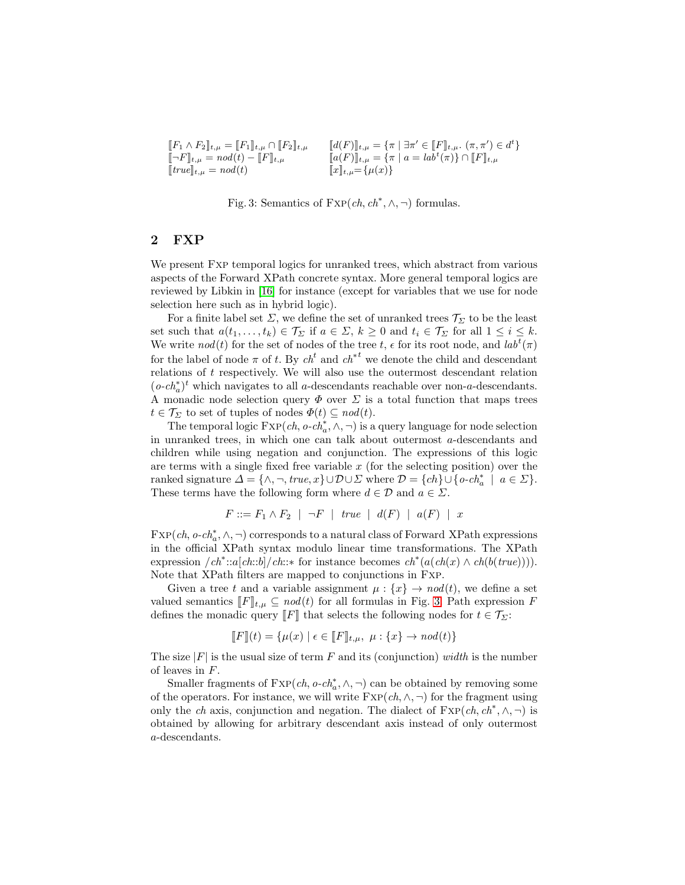<span id="page-4-1"></span>

| $[F_1 \wedge F_2]_{t,\mu} = [F_1]_{t,\mu} \cap [F_2]_{t,\mu}$                     | $[[d(F)]_{t,\mu} = {\pi   \exists \pi' \in [F]_{t,\mu}} \ldots (\pi, \pi') \in d^t$ |
|-----------------------------------------------------------------------------------|-------------------------------------------------------------------------------------|
| $\llbracket \neg F \rrbracket_{t,\mu} = nod(t) - \llbracket F \rrbracket_{t,\mu}$ | $[a(F)]_{t,\mu} = {\pi   a = labt(\pi)} \cap [F]_{t,\mu}$                           |
| $[true]_{t,\mu} = nod(t)$                                                         | $[[x]]_{t,\mu} = {\mu(x)}$                                                          |

Fig. 3: Semantics of  $\text{Exp}(ch, ch^*, \wedge, \neg)$  formulas.

#### <span id="page-4-0"></span>2 FXP

We present Fxp temporal logics for unranked trees, which abstract from various aspects of the Forward XPath concrete syntax. More general temporal logics are reviewed by Libkin in [\[16\]](#page-13-6) for instance (except for variables that we use for node selection here such as in hybrid logic).

For a finite label set  $\Sigma$ , we define the set of unranked trees  $\mathcal{T}_{\Sigma}$  to be the least set such that  $a(t_1, \ldots, t_k) \in \mathcal{T}_{\Sigma}$  if  $a \in \Sigma$ ,  $k \geq 0$  and  $t_i \in \mathcal{T}_{\Sigma}$  for all  $1 \leq i \leq k$ . We write  $nod(t)$  for the set of nodes of the tree t,  $\epsilon$  for its root node, and  $lab<sup>t</sup>(\pi)$ for the label of node  $\pi$  of t. By  $ch<sup>t</sup>$  and  $ch<sup>*t</sup>$  we denote the child and descendant relations of t respectively. We will also use the outermost descendant relation  $(o\operatorname{\text{-}ch}_a^*)^t$  which navigates to all  $a\operatorname{\text{-}descendants}$  reachable over non- $a\operatorname{\text{-}descendants}$ A monadic node selection query  $\Phi$  over  $\Sigma$  is a total function that maps trees  $t \in \mathcal{T}_{\Sigma}$  to set of tuples of nodes  $\Phi(t) \subseteq nod(t)$ .

The temporal logic  $\text{Exp}(ch, o \text{-} ch_a^*, \wedge, \neg)$  is a query language for node selection in unranked trees, in which one can talk about outermost a-descendants and children while using negation and conjunction. The expressions of this logic are terms with a single fixed free variable  $x$  (for the selecting position) over the ranked signature  $\Delta = {\wedge, \neg, true, x} \cup \mathcal{D} \cup \Sigma$  where  $\mathcal{D} = \{ch\} \cup \{o \text{-} ch_a^* \mid a \in \Sigma\}.$ These terms have the following form where  $d \in \mathcal{D}$  and  $a \in \mathcal{E}$ .

$$
F ::= F_1 \land F_2 \mid \neg F \mid true \mid d(F) \mid a(F) \mid x
$$

 $\text{Exp}(ch, o\text{-}ch^*_{a}, \wedge, \neg)$  corresponds to a natural class of Forward XPath expressions in the official XPath syntax modulo linear time transformations. The XPath expression  $\langle ch^*::a[ch::b]/ch::*$  for instance becomes  $ch^*(a(ch(x) \wedge ch(b(true))))$ . Note that XPath filters are mapped to conjunctions in Fxp.

Given a tree t and a variable assignment  $\mu : \{x\} \to nod(t)$ , we define a set valued semantics  $[$ F $]_{t,\mu} \subseteq nod(t)$  for all formulas in Fig. [3.](#page-4-1) Path expression F defines the monadic query  $\llbracket F \rrbracket$  that selects the following nodes for  $t \in \mathcal{T}_{\Sigma}$ :

$$
\llbracket F \rrbracket(t) = \{ \mu(x) \mid \epsilon \in \llbracket F \rrbracket_{t,\mu}, \ \mu : \{x\} \to \text{nod}(t) \}
$$

The size  $|F|$  is the usual size of term F and its (conjunction) width is the number of leaves in F.

Smaller fragments of  $\text{Exp}(ch, o \text{-} ch^*_{a}, \wedge, \neg)$  can be obtained by removing some of the operators. For instance, we will write  $\text{FXP}(ch, \wedge, \neg)$  for the fragment using only the ch axis, conjunction and negation. The dialect of  $FXP(ch, ch^*, \wedge, \neg)$  is obtained by allowing for arbitrary descendant axis instead of only outermost a-descendants.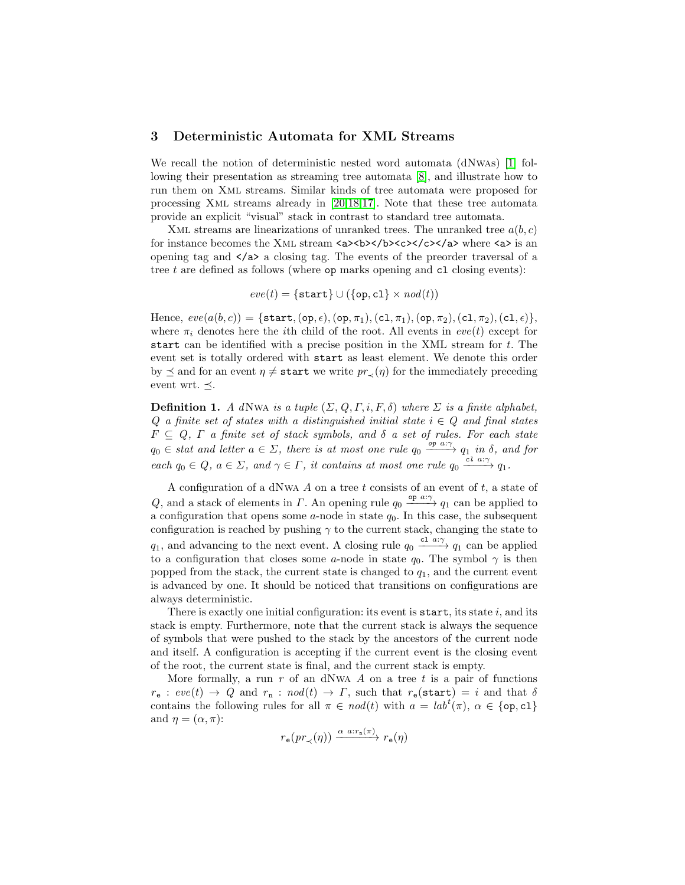#### <span id="page-5-0"></span>3 Deterministic Automata for XML Streams

We recall the notion of deterministic nested word automata (dNwAs) [\[1\]](#page-12-4) following their presentation as streaming tree automata [\[8\]](#page-13-17), and illustrate how to run them on Xml streams. Similar kinds of tree automata were proposed for processing Xml streams already in [\[20](#page-13-7)[,18,](#page-13-8)[17\]](#page-13-18). Note that these tree automata provide an explicit "visual" stack in contrast to standard tree automata.

XML streams are linearizations of unranked trees. The unranked tree  $a(b, c)$ for instance becomes the XML stream  $a$ >  $\>$  b> $\>$  /b> $\<$  /c> $\>$ /a> where  $\>$  is an opening tag and  $\langle a \rangle$  a closing tag. The events of the preorder traversal of a tree  $t$  are defined as follows (where  $op$  marks opening and  $cl$  closing events):

$$
eve(t) = \{ \texttt{start} \} \cup (\{ \texttt{op}, \texttt{cl} \} \times \textit{nod}(t))
$$

Hence,  $eve(a(b, c)) = \{\text{start},(\text{op}, \epsilon),(\text{op}, \pi_1),(\text{cl}, \pi_1),(\text{op}, \pi_2),(\text{cl}, \pi_2),(\text{cl}, \epsilon)\},\$ where  $\pi_i$  denotes here the *i*th child of the root. All events in  $eve(t)$  except for start can be identified with a precise position in the XML stream for  $t$ . The event set is totally ordered with start as least element. We denote this order by  $\leq$  and for an event  $\eta \neq$  start we write  $pr_{\prec}(\eta)$  for the immediately preceding event wrt.  $\preceq$ .

**Definition 1.** A dNwa is a tuple  $(\Sigma, Q, \Gamma, i, F, \delta)$  where  $\Sigma$  is a finite alphabet, Q a finite set of states with a distinguished initial state  $i \in Q$  and final states  $F \subseteq Q$ ,  $\Gamma$  a finite set of stack symbols, and  $\delta$  a set of rules. For each state  $q_0 \in$  stat and letter  $a \in \Sigma$ , there is at most one rule  $q_0 \xrightarrow{\text{op } a:\gamma} q_1$  in  $\delta$ , and for each  $q_0 \in Q$ ,  $a \in \Sigma$ , and  $\gamma \in \Gamma$ , it contains at most one rule  $q_0 \xrightarrow{cl a:\gamma} q_1$ .

A configuration of a dNwA  $A$  on a tree  $t$  consists of an event of  $t$ , a state of Q, and a stack of elements in  $\Gamma$ . An opening rule  $q_0 \stackrel{\text{op } a:\gamma}{\longrightarrow} q_1$  can be applied to a configuration that opens some  $a$ -node in state  $q_0$ . In this case, the subsequent configuration is reached by pushing  $\gamma$  to the current stack, changing the state to  $q_1$ , and advancing to the next event. A closing rule  $q_0 \stackrel{\text{cl } a:\gamma}{\longrightarrow} q_1$  can be applied to a configuration that closes some a-node in state  $q_0$ . The symbol  $\gamma$  is then popped from the stack, the current state is changed to  $q_1$ , and the current event is advanced by one. It should be noticed that transitions on configurations are always deterministic.

There is exactly one initial configuration: its event is start, its state  $i$ , and its stack is empty. Furthermore, note that the current stack is always the sequence of symbols that were pushed to the stack by the ancestors of the current node and itself. A configuration is accepting if the current event is the closing event of the root, the current state is final, and the current stack is empty.

More formally, a run  $r$  of an dNwA  $A$  on a tree  $t$  is a pair of functions  $r_{\rm e}$  :  $eve(t) \rightarrow Q$  and  $r_{\rm n}$  :  $nod(t) \rightarrow \Gamma$ , such that  $r_{\rm e}$ (start) = i and that  $\delta$ contains the following rules for all  $\pi \in \text{nod}(t)$  with  $a = \text{lab}^t(\pi)$ ,  $\alpha \in \{\text{op}, \text{cl}\}\$ and  $\eta = (\alpha, \pi)$ :

$$
r_{\mathbf{e}}(\mathit{pr}_{\prec}(\eta)) \xrightarrow{\alpha \mathit{a}: r_{\mathbf{n}}(\pi)} r_{\mathbf{e}}(\eta)
$$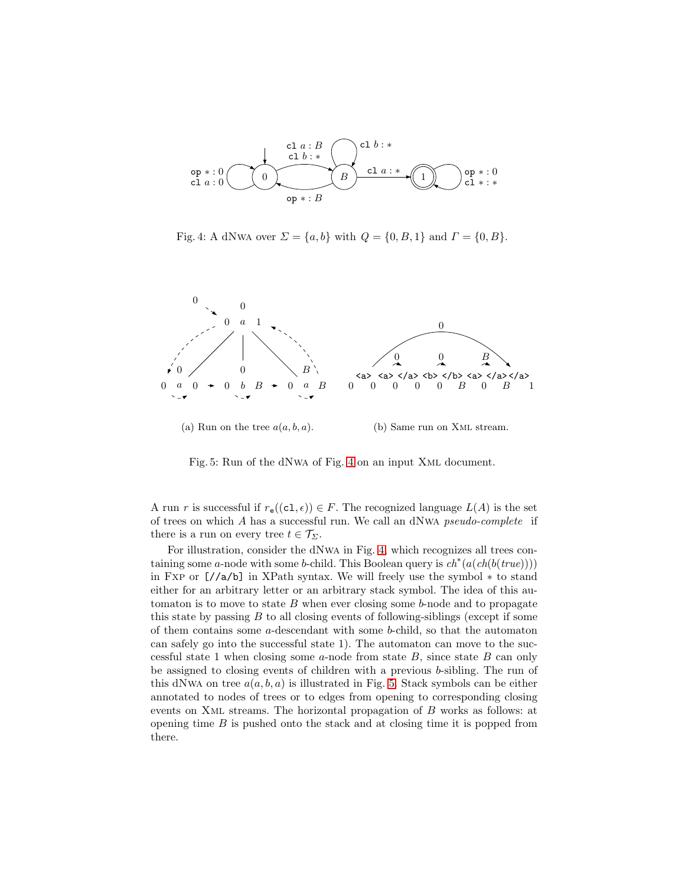<span id="page-6-0"></span>

<span id="page-6-1"></span>Fig. 4: A dNwA over  $\Sigma = \{a, b\}$  with  $Q = \{0, B, 1\}$  and  $\Gamma = \{0, B\}$ .



Fig. 5: Run of the dNwa of Fig. [4](#page-6-0) on an input Xml document.

A run r is successful if  $r_{\mathsf{e}}((c_1,\epsilon)) \in F$ . The recognized language  $L(A)$  is the set of trees on which A has a successful run. We call an dNwa pseudo-complete if there is a run on every tree  $t \in \mathcal{T}_{\Sigma}$ .

For illustration, consider the dNwa in Fig. [4,](#page-6-0) which recognizes all trees containing some a-node with some b-child. This Boolean query is  $ch^*(a(ch(b(true))))$ in Fxp or [//a/b] in XPath syntax. We will freely use the symbol ∗ to stand either for an arbitrary letter or an arbitrary stack symbol. The idea of this automaton is to move to state  $B$  when ever closing some  $b$ -node and to propagate this state by passing  $B$  to all closing events of following-siblings (except if some of them contains some  $a$ -descendant with some  $b$ -child, so that the automaton can safely go into the successful state 1). The automaton can move to the successful state 1 when closing some  $a$ -node from state  $B$ , since state  $B$  can only be assigned to closing events of children with a previous b-sibling. The run of this dNwA on tree  $a(a, b, a)$  is illustrated in Fig. [5.](#page-6-1) Stack symbols can be either annotated to nodes of trees or to edges from opening to corresponding closing events on Xml streams. The horizontal propagation of B works as follows: at opening time  $B$  is pushed onto the stack and at closing time it is popped from there.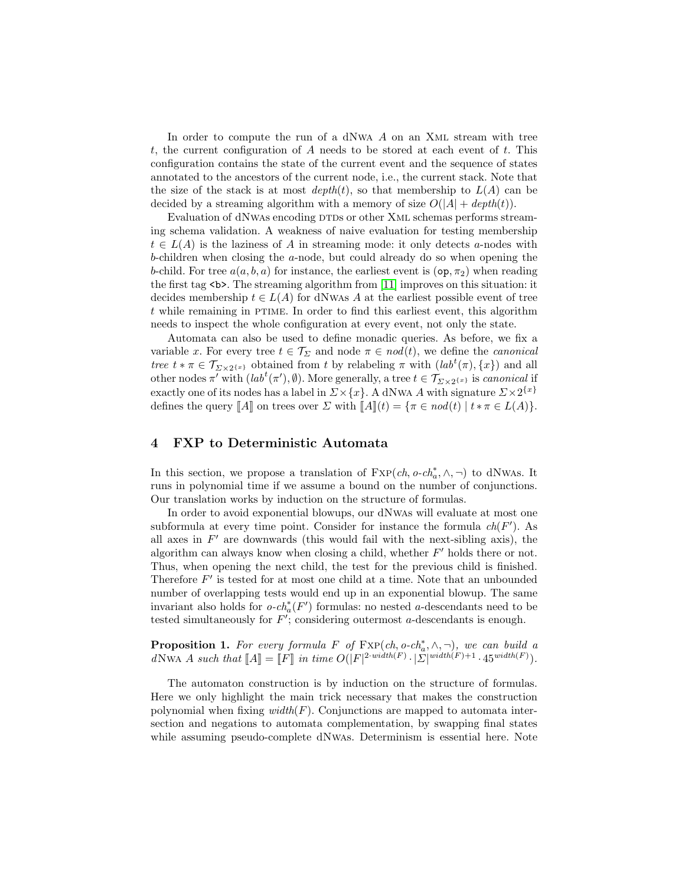In order to compute the run of a dNwa  $A$  on an XML stream with tree t, the current configuration of A needs to be stored at each event of t. This configuration contains the state of the current event and the sequence of states annotated to the ancestors of the current node, i.e., the current stack. Note that the size of the stack is at most  $depth(t)$ , so that membership to  $L(A)$  can be decided by a streaming algorithm with a memory of size  $O(|A| + depth(t))$ .

Evaluation of dNwAs encoding DTDs or other XML schemas performs streaming schema validation. A weakness of naive evaluation for testing membership  $t \in L(A)$  is the laziness of A in streaming mode: it only detects a-nodes with b-children when closing the a-node, but could already do so when opening the b-child. For tree  $a(a, b, a)$  for instance, the earliest event is  $(\texttt{op}, \pi_2)$  when reading the first tag  $\leq b$ . The streaming algorithm from [\[11\]](#page-13-15) improves on this situation: it decides membership  $t \in L(A)$  for dNwas A at the earliest possible event of tree  $t$  while remaining in PTIME. In order to find this earliest event, this algorithm needs to inspect the whole configuration at every event, not only the state.

Automata can also be used to define monadic queries. As before, we fix a variable x. For every tree  $t \in \mathcal{T}_{\Sigma}$  and node  $\pi \in \text{nod}(t)$ , we define the *canonical* tree  $t * \pi \in \mathcal{T}_{\Sigma \times 2^{\{x\}}}$  obtained from t by relabeling  $\pi$  with  $(lab^t(\pi), \{x\})$  and all other nodes  $\pi'$  with  $(lab^t(\pi'), \emptyset)$ . More generally, a tree  $t \in \mathcal{T}_{\Sigma \times 2^{\{x\}}}$  is *canonical* if exactly one of its nodes has a label in  $\Sigma \times \{x\}$ . A dNwA A with signature  $\Sigma \times 2^{\{x\}}$ defines the query  $\llbracket A \rrbracket$  on trees over  $\Sigma$  with  $\llbracket A \rrbracket(t) = \{ \pi \in \mathit{nod}(t) \mid t \ast \pi \in L(A) \}.$ 

#### <span id="page-7-0"></span>4 FXP to Deterministic Automata

In this section, we propose a translation of  $\text{Exp}(ch, o\text{-}ch_a^*, \wedge, \neg)$  to dNwas. It runs in polynomial time if we assume a bound on the number of conjunctions. Our translation works by induction on the structure of formulas.

In order to avoid exponential blowups, our dNwas will evaluate at most one subformula at every time point. Consider for instance the formula  $ch(F')$ . As all axes in  $F'$  are downwards (this would fail with the next-sibling axis), the algorithm can always know when closing a child, whether  $F'$  holds there or not. Thus, when opening the next child, the test for the previous child is finished. Therefore  $F'$  is tested for at most one child at a time. Note that an unbounded number of overlapping tests would end up in an exponential blowup. The same invariant also holds for  $o\text{-}ch_a^*(F')$  formulas: no nested a-descendants need to be tested simultaneously for  $F'$ ; considering outermost  $a$ -descendants is enough.

<span id="page-7-1"></span>**Proposition 1.** For every formula F of  $\text{Exp}(ch, o-ch_a^*, \wedge, \neg)$ , we can build a dNwA A such that  $[[A]] = [[F]]$  in time  $O(|F|^{2 \cdot width(F)} \cdot |\Sigma|^{width(F)+1} \cdot 45^{width(F)}).$ 

The automaton construction is by induction on the structure of formulas. Here we only highlight the main trick necessary that makes the construction polynomial when fixing  $width(F)$ . Conjunctions are mapped to automata intersection and negations to automata complementation, by swapping final states while assuming pseudo-complete dNwas. Determinism is essential here. Note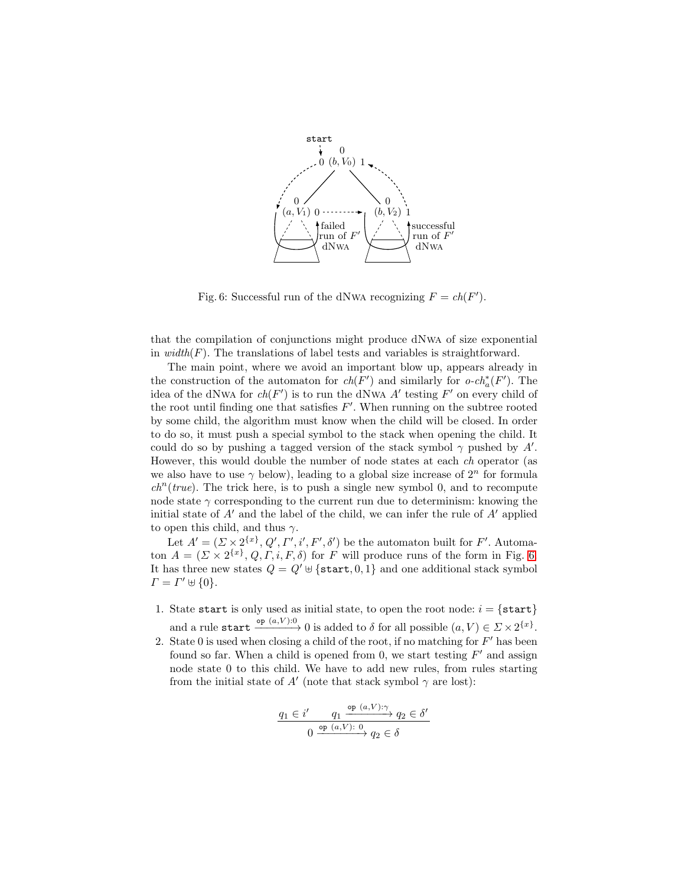<span id="page-8-0"></span>

Fig. 6: Successful run of the dNWA recognizing  $F = ch(F')$ .

that the compilation of conjunctions might produce dNwa of size exponential in  $width(F)$ . The translations of label tests and variables is straightforward.

The main point, where we avoid an important blow up, appears already in the construction of the automaton for  $ch(F')$  and similarly for  $o-ch_a^*(F')$ . The idea of the dNwA for  $ch(F')$  is to run the dNwA A' testing F' on every child of the root until finding one that satisfies  $F'$ . When running on the subtree rooted by some child, the algorithm must know when the child will be closed. In order to do so, it must push a special symbol to the stack when opening the child. It could do so by pushing a tagged version of the stack symbol  $\gamma$  pushed by A'. However, this would double the number of node states at each ch operator (as we also have to use  $\gamma$  below), leading to a global size increase of  $2^n$  for formula  $ch<sup>n</sup>(true)$ . The trick here, is to push a single new symbol 0, and to recompute node state  $\gamma$  corresponding to the current run due to determinism: knowing the initial state of  $A'$  and the label of the child, we can infer the rule of  $A'$  applied to open this child, and thus  $\gamma$ .

Let  $A' = (\Sigma \times 2^{\{x\}}, Q', \Gamma', i', F', \delta')$  be the automaton built for F'. Automaton  $A = (\Sigma \times 2^{\{x\}}, Q, \Gamma, i, F, \delta)$  for F will produce runs of the form in Fig. [6.](#page-8-0) It has three new states  $Q = Q' \oplus \{\texttt{start}, 0, 1\}$  and one additional stack symbol  $\Gamma = \Gamma' \uplus \{0\}.$ 

- 1. State start is only used as initial state, to open the root node:  $i = \{ \text{start} \}$ and a rule start  $\frac{\partial \mathbf{p} (a, V):0}{\partial \mathbf{p}}$  is added to  $\delta$  for all possible  $(a, V) \in \Sigma \times 2^{\{x\}}$ .
- 2. State 0 is used when closing a child of the root, if no matching for  $F'$  has been found so far. When a child is opened from 0, we start testing  $F'$  and assign node state 0 to this child. We have to add new rules, from rules starting from the initial state of  $A'$  (note that stack symbol  $\gamma$  are lost):

$$
\frac{q_1 \in i' \qquad q_1 \xrightarrow{\text{op}(a,V):\gamma} q_2 \in \delta'}{0 \xrightarrow{\text{op}(a,V):\theta} q_2 \in \delta}
$$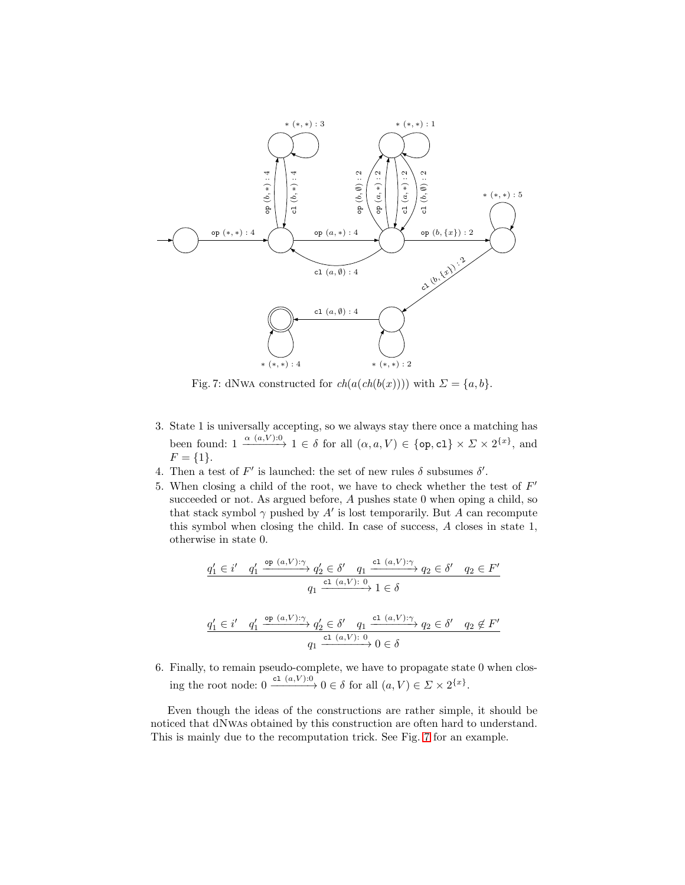<span id="page-9-0"></span>

Fig. 7: dNwA constructed for  $ch(a(ch(b(x))))$  with  $\Sigma = \{a, b\}.$ 

- 3. State 1 is universally accepting, so we always stay there once a matching has been found:  $1 \xrightarrow{\alpha (a,V):0} 1 \in \delta$  for all  $(\alpha, a, V) \in \{\text{op}, \text{cl}\}\times \Sigma \times 2^{\{x\}},$  and  $F = \{1\}.$
- 4. Then a test of  $F'$  is launched: the set of new rules  $\delta$  subsumes  $\delta'$ .
- 5. When closing a child of the root, we have to check whether the test of  $F'$ succeeded or not. As argued before, A pushes state 0 when oping a child, so that stack symbol  $\gamma$  pushed by A' is lost temporarily. But A can recompute this symbol when closing the child. In case of success, A closes in state 1, otherwise in state 0.

$$
\begin{aligned}\n\underline{q'_1 \in i' \quad q'_1 \xrightarrow{\text{op }(a,V):\gamma} q'_2 \in \delta' \quad q_1 \xrightarrow{\text{cl }(a,V):\gamma} q_2 \in \delta' \quad q_2 \in F'} \\
\underline{q_1 \xrightarrow{\text{cl }(a,V):\ 0} 1 \in \delta} \\
\underline{q'_1 \in i' \quad q'_1 \xrightarrow{\text{op }(a,V):\gamma} q'_2 \in \delta' \quad q_1 \xrightarrow{\text{cl }(a,V):\gamma} q_2 \in \delta' \quad q_2 \notin F'} \\
\underline{q_1 \xrightarrow{\text{cl }(a,V):\ 0} 0 \in \delta}\n\end{aligned}
$$

6. Finally, to remain pseudo-complete, we have to propagate state 0 when closing the root node:  $0 \xrightarrow{c_1 (a, V):0} 0 \in \delta$  for all  $(a, V) \in \Sigma \times 2^{\{x\}}$ .

Even though the ideas of the constructions are rather simple, it should be noticed that dNwas obtained by this construction are often hard to understand. This is mainly due to the recomputation trick. See Fig. [7](#page-9-0) for an example.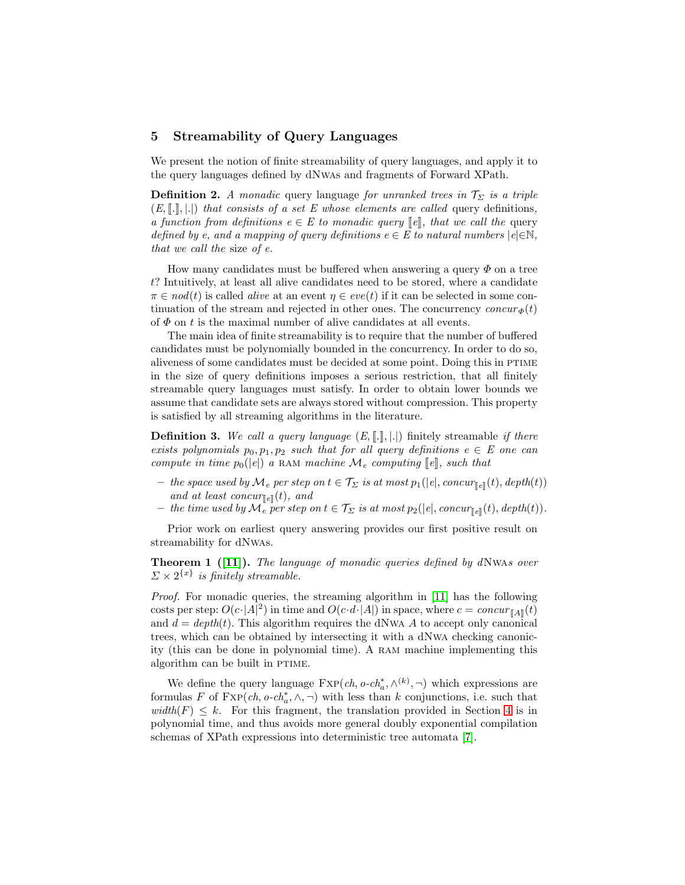#### <span id="page-10-0"></span>5 Streamability of Query Languages

We present the notion of finite streamability of query languages, and apply it to the query languages defined by dNwas and fragments of Forward XPath.

**Definition 2.** A monadic query language for unranked trees in  $\mathcal{T}_{\Sigma}$  is a triple  $(E, \llbracket . \rrbracket, \llbracket . \rrbracket)$  that consists of a set E whose elements are called query definitions, a function from definitions  $e \in E$  to monadic query  $\llbracket e \rrbracket$ , that we call the query defined by e, and a mapping of query definitions  $e \in E$  to natural numbers  $|e| \in \mathbb{N}$ , that we call the size of e.

How many candidates must be buffered when answering a query  $\Phi$  on a tree t? Intuitively, at least all alive candidates need to be stored, where a candidate  $\pi \in nod(t)$  is called *alive* at an event  $\eta \in eve(t)$  if it can be selected in some continuation of the stream and rejected in other ones. The concurrency concur  $\phi(t)$ of  $\Phi$  on t is the maximal number of alive candidates at all events.

The main idea of finite streamability is to require that the number of buffered candidates must be polynomially bounded in the concurrency. In order to do so, aliveness of some candidates must be decided at some point. Doing this in PTIME in the size of query definitions imposes a serious restriction, that all finitely streamable query languages must satisfy. In order to obtain lower bounds we assume that candidate sets are always stored without compression. This property is satisfied by all streaming algorithms in the literature.

**Definition 3.** We call a query language  $(E, \lceil \cdot \rceil, \lceil \cdot \rceil)$  finitely streamable if there exists polynomials  $p_0, p_1, p_2$  such that for all query definitions  $e \in E$  one can compute in time  $p_0(|e|)$  a RAM machine  $\mathcal{M}_e$  computing  $\llbracket e \rrbracket$ , such that

- the space used by  $\mathcal{M}_e$  per step on  $t \in \mathcal{T}_{\Sigma}$  is at most  $p_1(|e|, \text{concur}_{\mathbb{F}_e}](t), \text{depth}(t))$ and at least concur $_{\llbracket e \rrbracket}(t)$ , and
- the time used by  $\mathcal{M}_e$  per step on  $t \in \mathcal{T}_{\Sigma}$  is at most  $p_2(|e|, \text{concur}_{\mathbb{E}}(t), \text{depth}(t)).$

<span id="page-10-1"></span>Prior work on earliest query answering provides our first positive result on streamability for dNwas.

Theorem 1 ([\[11\]](#page-13-15)). The language of monadic queries defined by dNwAs over  $\Sigma \times 2^{\{x\}}$  is finitely streamable.

Proof. For monadic queries, the streaming algorithm in [\[11\]](#page-13-15) has the following costs per step:  $O(c \cdot |A|^2)$  in time and  $O(c \cdot d \cdot |A|)$  in space, where  $c = concur_{\llbracket A \rrbracket}(t)$ and  $d = depth(t)$ . This algorithm requires the dNwA A to accept only canonical trees, which can be obtained by intersecting it with a dNwa checking canonicity (this can be done in polynomial time). A ram machine implementing this algorithm can be built in PTIME.

We define the query language  $\text{Exp}(ch, o \text{-} ch_a^*, \wedge^{(k)}, \neg)$  which expressions are formulas F of  $\text{Exp}(ch, o \text{-} ch^*_{a}, \wedge, \neg)$  with less than k conjunctions, i.e. such that  $width(F) \leq k$ . For this fragment, the translation provided in Section [4](#page-7-0) is in polynomial time, and thus avoids more general doubly exponential compilation schemas of XPath expressions into deterministic tree automata [\[7\]](#page-13-14).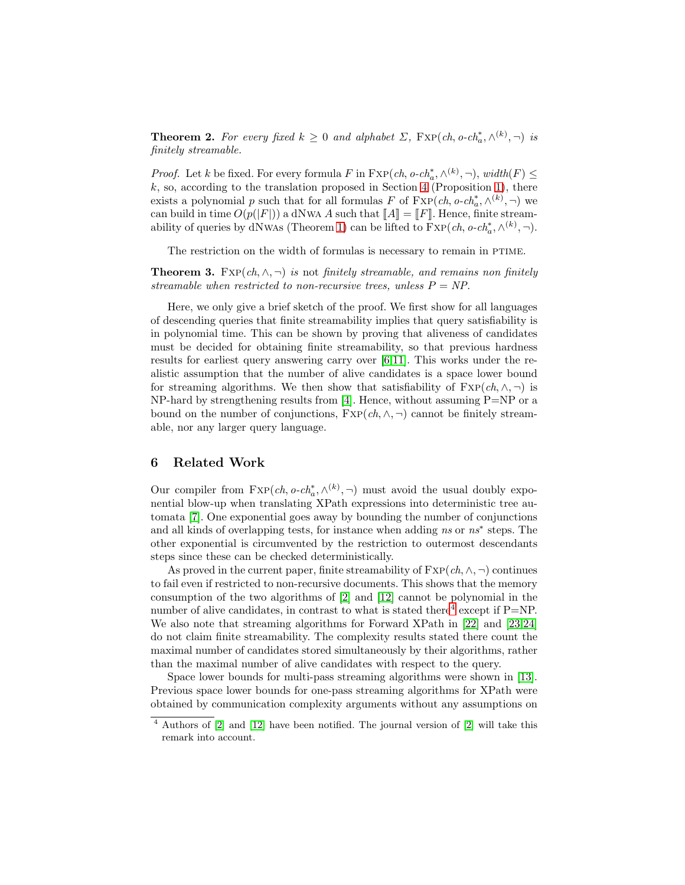**Theorem 2.** For every fixed  $k \geq 0$  and alphabet  $\Sigma$ ,  $\text{FXP}(ch, o\text{-}ch^*_{a}, \wedge^{(k)}, \neg)$  is finitely streamable.

*Proof.* Let k be fixed. For every formula F in  $\text{Exp}(ch, o \text{-} ch^*_{a}, \wedge^{(k)}, \neg)$ ,  $width(F) \leq$  $k$ , so, according to the translation proposed in Section [4](#page-7-0) (Proposition [1\)](#page-7-1), there exists a polynomial p such that for all formulas F of  $\text{Exp}(ch, o \text{-} ch_a^*, \wedge^{(k)}, \neg)$  we can build in time  $O(p(|F|))$  a dNwA A such that  $\llbracket A \rrbracket = \llbracket F \rrbracket$ . Hence, finite stream-ability of queries by dNwas (Theorem [1\)](#page-10-1) can be lifted to  $\text{Exp}(ch, o\text{-}ch^*_{a}, \wedge^{(k)}, \neg)$ .

The restriction on the width of formulas is necessary to remain in PTIME.

**Theorem 3.** FXP(ch,  $\wedge$ ,  $\neg$ ) is not finitely streamable, and remains non finitely streamable when restricted to non-recursive trees, unless  $P = NP$ .

Here, we only give a brief sketch of the proof. We first show for all languages of descending queries that finite streamability implies that query satisfiability is in polynomial time. This can be shown by proving that aliveness of candidates must be decided for obtaining finite streamability, so that previous hardness results for earliest query answering carry over [\[6](#page-12-3)[,11\]](#page-13-15). This works under the realistic assumption that the number of alive candidates is a space lower bound for streaming algorithms. We then show that satisfiability of  $FXP(ch,\wedge, \neg)$  is NP-hard by strengthening results from [\[4\]](#page-12-5). Hence, without assuming  $P=NP$  or a bound on the number of conjunctions,  $FXP(ch,\wedge, \neg)$  cannot be finitely streamable, nor any larger query language.

#### <span id="page-11-0"></span>6 Related Work

Our compiler from  $\text{FXP}(ch, o\text{-}ch^*_{a}, \wedge^{(k)}, \neg)$  must avoid the usual doubly exponential blow-up when translating XPath expressions into deterministic tree automata [\[7\]](#page-13-14). One exponential goes away by bounding the number of conjunctions and all kinds of overlapping tests, for instance when adding ns or ns<sup>∗</sup> steps. The other exponential is circumvented by the restriction to outermost descendants steps since these can be checked deterministically.

As proved in the current paper, finite streamability of  $\text{Exp}(ch, \wedge, \neg)$  continues to fail even if restricted to non-recursive documents. This shows that the memory consumption of the two algorithms of [\[2\]](#page-12-0) and [\[12\]](#page-13-2) cannot be polynomial in the number of alive candidates, in contrast to what is stated there<sup>[4](#page-11-1)</sup> except if  $P=NP$ . We also note that streaming algorithms for Forward XPath in [\[22\]](#page-13-1) and [\[23,](#page-13-19)[24\]](#page-13-0) do not claim finite streamability. The complexity results stated there count the maximal number of candidates stored simultaneously by their algorithms, rather than the maximal number of alive candidates with respect to the query.

Space lower bounds for multi-pass streaming algorithms were shown in [\[13\]](#page-13-20). Previous space lower bounds for one-pass streaming algorithms for XPath were obtained by communication complexity arguments without any assumptions on

<span id="page-11-1"></span><sup>4</sup> Authors of [\[2\]](#page-12-0) and [\[12\]](#page-13-2) have been notified. The journal version of [\[2\]](#page-12-0) will take this remark into account.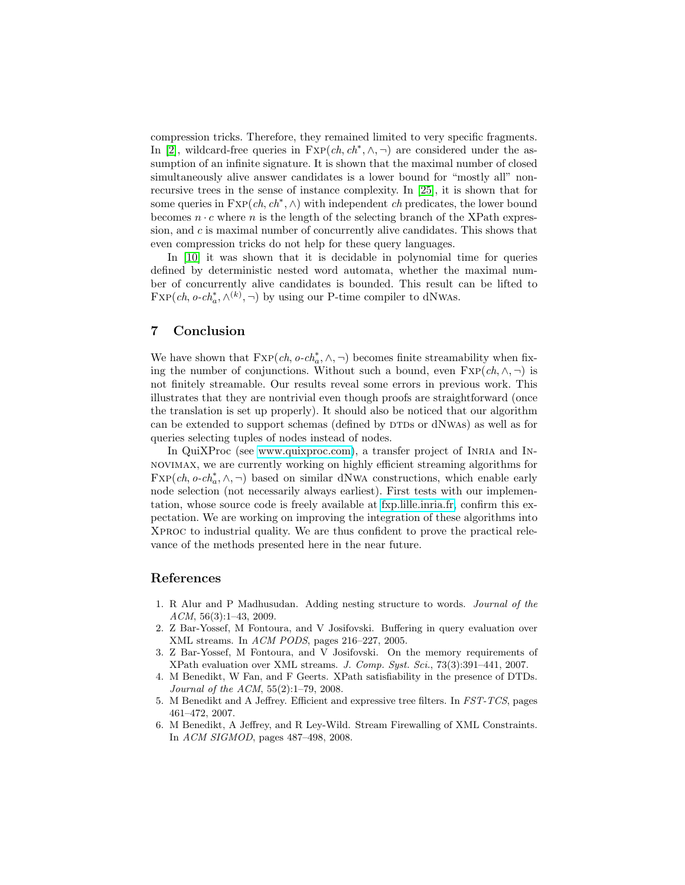compression tricks. Therefore, they remained limited to very specific fragments. In [\[2\]](#page-12-0), wildcard-free queries in  $FXP(ch, ch^*, \wedge, \neg)$  are considered under the assumption of an infinite signature. It is shown that the maximal number of closed simultaneously alive answer candidates is a lower bound for "mostly all" nonrecursive trees in the sense of instance complexity. In [\[25\]](#page-13-21), it is shown that for some queries in  $\text{Exp}(ch, ch^*, \wedge)$  with independent ch predicates, the lower bound becomes  $n \cdot c$  where n is the length of the selecting branch of the XPath expression, and c is maximal number of concurrently alive candidates. This shows that even compression tricks do not help for these query languages.

In [\[10\]](#page-13-22) it was shown that it is decidable in polynomial time for queries defined by deterministic nested word automata, whether the maximal number of concurrently alive candidates is bounded. This result can be lifted to  $\text{Exp}(ch, o\text{-}ch^*_a, \wedge^{(k)}, \neg)$  by using our P-time compiler to dNwas.

### 7 Conclusion

We have shown that  $\text{Exp}(ch, o \text{-} ch_a^*, \wedge, \neg)$  becomes finite streamability when fixing the number of conjunctions. Without such a bound, even  $\text{Exp}(ch, \wedge, \neg)$  is not finitely streamable. Our results reveal some errors in previous work. This illustrates that they are nontrivial even though proofs are straightforward (once the translation is set up properly). It should also be noticed that our algorithm can be extended to support schemas (defined by DTDs or dNWAs) as well as for queries selecting tuples of nodes instead of nodes.

In QuiXProc (see [www.quixproc.com\)](http://www.quixproc.com), a transfer project of Inria and Innovimax, we are currently working on highly efficient streaming algorithms for  $\text{Exp}(ch, o\text{-}ch^*_{a}, \wedge, \neg)$  based on similar dNwA constructions, which enable early node selection (not necessarily always earliest). First tests with our implementation, whose source code is freely available at [fxp.lille.inria.fr,](http://fxp.lille.inria.fr) confirm this expectation. We are working on improving the integration of these algorithms into Xproc to industrial quality. We are thus confident to prove the practical relevance of the methods presented here in the near future.

#### <span id="page-12-4"></span>References

- 1. R Alur and P Madhusudan. Adding nesting structure to words. Journal of the ACM, 56(3):1–43, 2009.
- <span id="page-12-0"></span>2. Z Bar-Yossef, M Fontoura, and V Josifovski. Buffering in query evaluation over XML streams. In ACM PODS, pages 216–227, 2005.
- <span id="page-12-1"></span>3. Z Bar-Yossef, M Fontoura, and V Josifovski. On the memory requirements of XPath evaluation over XML streams. J. Comp. Syst. Sci., 73(3):391–441, 2007.
- <span id="page-12-5"></span>4. M Benedikt, W Fan, and F Geerts. XPath satisfiability in the presence of DTDs. Journal of the ACM, 55(2):1–79, 2008.
- <span id="page-12-2"></span>5. M Benedikt and A Jeffrey. Efficient and expressive tree filters. In FST-TCS, pages 461–472, 2007.
- <span id="page-12-3"></span>6. M Benedikt, A Jeffrey, and R Ley-Wild. Stream Firewalling of XML Constraints. In ACM SIGMOD, pages 487–498, 2008.